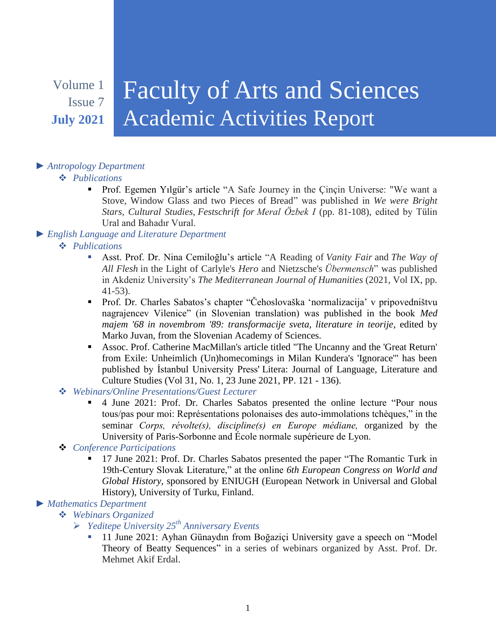# Volume 1

Issue 7 **July 2021**

# Faculty of Arts and Sciences Academic Activities Report

# *► Antropology Department*

# *Publications*

- Prof. Egemen Yılgür's article "A Safe Journey in the Çinçin Universe: "We want a Stove, Window Glass and two Pieces of Bread" was published in *We were Bright Stars, Cultural Studies, Festschrift for Meral Özbek I* (pp. 81-108), edited by Tülin Ural and Bahadır Vural.
- *► English Language and Literature Department*
	- *Publications*
		- Asst. Prof. Dr. Nina Cemiloğlu's article "A Reading of *Vanity Fair* and *The Way of All Flesh* in the Light of Carlyle's *Hero* and Nietzsche's *Übermensch*" was published in Akdeniz University's *The Mediterranean Journal of Humanities* (2021, Vol IX, pp. 41-53).
		- Prof. Dr. Charles Sabatos's chapter "Čehoslovaška 'normalizacija' v pripovedništvu nagrajencev Vilenice" (in Slovenian translation) was published in the book *Med majem '68 in novembrom '89: transformacije sveta, literature in teorije*, edited by Marko Juvan, from the Slovenian Academy of Sciences.
		- Assoc. Prof. Catherine MacMillan's article titled "The Uncanny and the 'Great Return' from Exile: Unheimlich (Un)homecomings in Milan Kundera's 'Ignorace'" has been published by İstanbul University Press' Litera: Journal of Language, Literature and Culture Studies (Vol 31, No. 1, 23 June 2021, PP. 121 - 136).
	- *Webinars/Online Presentations/Guest Lecturer*
		- 4 June 2021: Prof. Dr. Charles Sabatos presented the online lecture "Pour nous tous/pas pour moi: Représentations polonaises des auto-immolations tchèques," in the seminar *Corps, révolte(s), discipline(s) en Europe médiane,* organized by the University of Paris-Sorbonne and École normale supérieure de Lyon.
	- *Conference Participations*
		- <sup>17</sup> June 2021: Prof. Dr. Charles Sabatos presented the paper "The Romantic Turk in 19th-Century Slovak Literature," at the online *6th European Congress on World and Global History*, sponsored by ENIUGH (European Network in Universal and Global History), University of Turku, Finland.

#### *► Mathematics Department*

- *Webinars Organized*
	- *Yeditepe University 25th Anniversary Events*
		- 11 June 2021: Ayhan Günaydın from Boğaziçi University gave a speech on "Model Theory of Beatty Sequences" in a series of webinars organized by Asst. Prof. Dr. Mehmet Akif Erdal.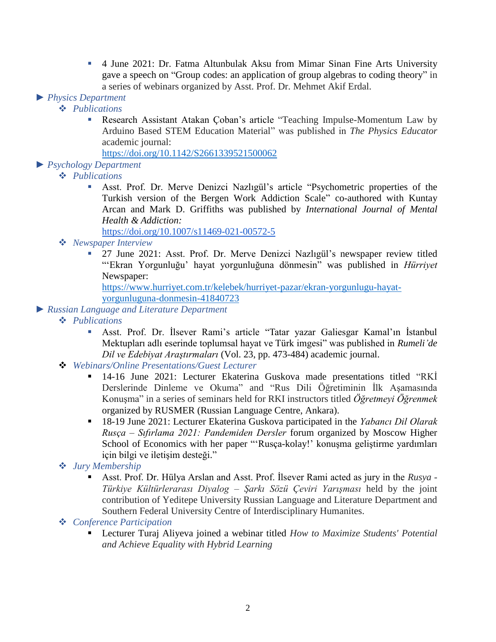4 June 2021: Dr. Fatma Altunbulak Aksu from Mimar Sinan Fine Arts University gave a speech on "Group codes: an application of group algebras to coding theory" in a series of webinars organized by Asst. Prof. Dr. Mehmet Akif Erdal.

#### *► Physics Department*

#### *Publications*

 Research Assistant Atakan Çoban's article "Teaching Impulse-Momentum Law by Arduino Based STEM Education Material" was published in *The Physics Educator* academic journal:

<https://doi.org/10.1142/S2661339521500062>

# *► Psychology Department*

- *Publications*
	- Asst. Prof. Dr. Merve Denizci Nazlıgül's article "Psychometric properties of the Turkish version of the Bergen Work Addiction Scale" co-authored with Kuntay Arcan and Mark D. Griffiths was published by *International Journal of Mental Health & Addiction:*

<https://doi.org/10.1007/s11469-021-00572-5>

- *Newspaper Interview*
	- 27 June 2021: Asst. Prof. Dr. Merve Denizci Nazlıgül's newspaper review titled "'Ekran Yorgunluğu' hayat yorgunluğuna dönmesin" was published in *Hürriyet* Newspaper:

[https://www.hurriyet.com.tr/kelebek/hurriyet-pazar/ekran-yorgunlugu-hayat](https://www.hurriyet.com.tr/kelebek/hurriyet-pazar/ekran-yorgunlugu-hayat-yorgunluguna-donmesin-41840723)[yorgunluguna-donmesin-41840723](https://www.hurriyet.com.tr/kelebek/hurriyet-pazar/ekran-yorgunlugu-hayat-yorgunluguna-donmesin-41840723)

- *► Russian Language and Literature Department*
	- *Publications*
		- Asst. Prof. Dr. İlsever Rami's article "Tatar yazar Galiesgar Kamal'ın İstanbul Mektupları adlı eserinde toplumsal hayat ve Türk imgesi" was published in *Rumeli'de Dil ve Edebiyat Araştırmaları* (Vol. 23, pp. 473-484) academic journal.
	- *Webinars/Online Presentations/Guest Lecturer*
		- <sup>14-16</sup> June 2021: Lecturer Ekaterina Guskova made presentations titled "RKİ Derslerinde Dinleme ve Okuma" and "Rus Dili Öğretiminin İlk Aşamasında onuşma" in a series of seminars held for RKI instructors titled *Öğretmeyi Öğrenmek* organized by RUSMER (Russian Language Centre, Ankara).
		- 18-19 June 2021: Lecturer Ekaterina Guskova participated in the *Yabancı Dil Olarak Rusça – Sıfırlama 2021: Pandemiden Dersler* forum organized by Moscow Higher School of Economics with her paper "'Rusça-kolay!' konuşma geliştirme yardımları için bilgi ve iletişim desteği."
	- *Jury Membership*
		- Asst. Prof. Dr. Hülya Arslan and Asst. Prof. İlsever Rami acted as jury in the *Rusya - Türkiye Kültürlerarası Diyalog – Şarkı Sözü Çeviri Yarışması* held by the joint contribution of Yeditepe University Russian Language and Literature Department and Southern Federal University Centre of Interdisciplinary Humanites.
	- *Conference Participation*
		- Lecturer Turaj Aliyeva joined a webinar titled *How to Maximize Students' Potential and Achieve Equality with Hybrid Learning*